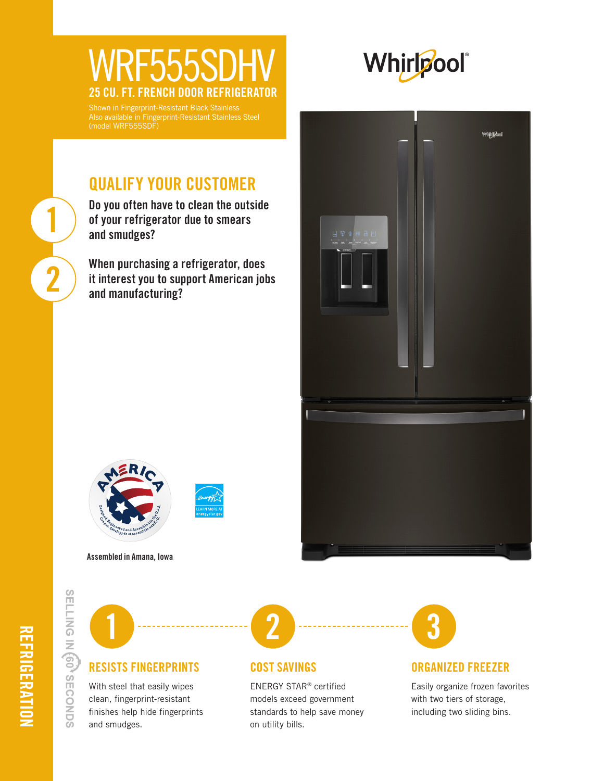## WRF555SI<br>25 CU. FT. FRENCH DOOR REI FRENCH DOOR REFRIGERA



Also available in Fingerprint-Resistant Stainless Steel

## QUALIFY YOUR CUSTOMER

Do you often have to clean the outside of your refrigerator due to smears and smudges?

When purchasing a refrigerator, does it interest you to support American jobs and manufacturing?







Assembled in Amana, Iowa

SELLING IN (60<sup>3</sup> SECONDS

1

2



#### RESISTS FINGERPRINTS

With steel that easily wipes clean, fingerprint-resistant finishes help hide fingerprints and smudges.



#### COST SAVINGS

ENERGY STAR® certified models exceed government standards to help save money on utility bills.



#### ORGANIZED FREEZER

Easily organize frozen favorites with two tiers of storage, including two sliding bins.